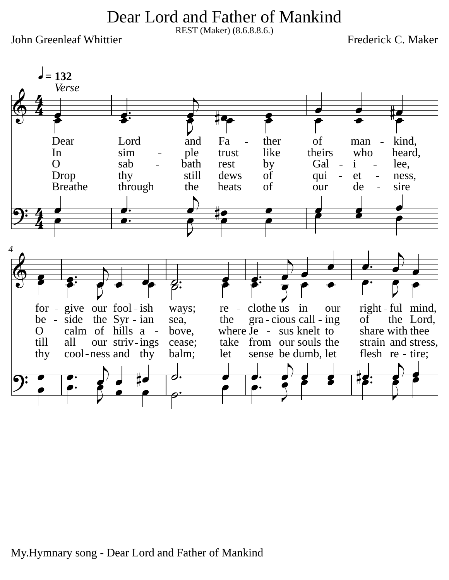Dear Lord and Father of Mankind

REST (Maker) (8.6.8.8.6.)

John Greenleaf Whittier

Frederick C. Maker



My.Hymnary song - Dear Lord and Father of Mankind